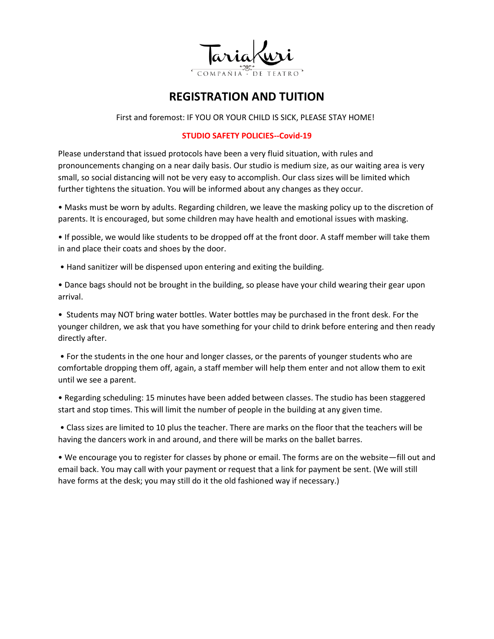

# **REGISTRATION AND TUITION**

First and foremost: IF YOU OR YOUR CHILD IS SICK, PLEASE STAY HOME!

## **STUDIO SAFETY POLICIES--Covid-19**

Please understand that issued protocols have been a very fluid situation, with rules and pronouncements changing on a near daily basis. Our studio is medium size, as our waiting area is very small, so social distancing will not be very easy to accomplish. Our class sizes will be limited which further tightens the situation. You will be informed about any changes as they occur.

• Masks must be worn by adults. Regarding children, we leave the masking policy up to the discretion of parents. It is encouraged, but some children may have health and emotional issues with masking.

• If possible, we would like students to be dropped off at the front door. A staff member will take them in and place their coats and shoes by the door.

• Hand sanitizer will be dispensed upon entering and exiting the building.

• Dance bags should not be brought in the building, so please have your child wearing their gear upon arrival.

• Students may NOT bring water bottles. Water bottles may be purchased in the front desk. For the younger children, we ask that you have something for your child to drink before entering and then ready directly after.

• For the students in the one hour and longer classes, or the parents of younger students who are comfortable dropping them off, again, a staff member will help them enter and not allow them to exit until we see a parent.

• Regarding scheduling: 15 minutes have been added between classes. The studio has been staggered start and stop times. This will limit the number of people in the building at any given time.

• Class sizes are limited to 10 plus the teacher. There are marks on the floor that the teachers will be having the dancers work in and around, and there will be marks on the ballet barres.

• We encourage you to register for classes by phone or email. The forms are on the website—fill out and email back. You may call with your payment or request that a link for payment be sent. (We will still have forms at the desk; you may still do it the old fashioned way if necessary.)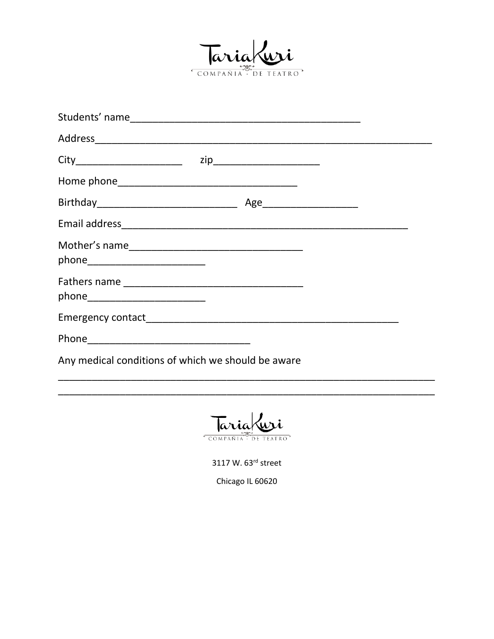

| Any medical conditions of which we should be aware |  |  |  |
|----------------------------------------------------|--|--|--|

Tariakuri COMPAÑIA DE TEATRO

3117 W. 63rd street

Chicago IL 60620